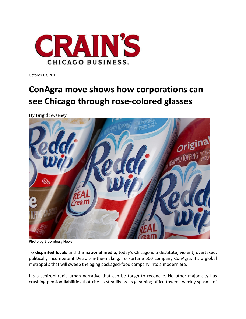

October 03, 2015

## **ConAgra move shows how corporations can see Chicago through rose‐colored glasses**

By Brigid Sweeney



Photo by Bloomberg News

To **dispirited locals** and the **national media**, today's Chicago is a destitute, violent, overtaxed, politically incompetent Detroit-in-the-making. To Fortune 500 company ConAgra, it's a global metropolis that will sweep the aging packaged‐food company into a modern era.

It's a schizophrenic urban narrative that can be tough to reconcile. No other major city has crushing pension liabilities that rise as steadily as its gleaming office towers, weekly spasms of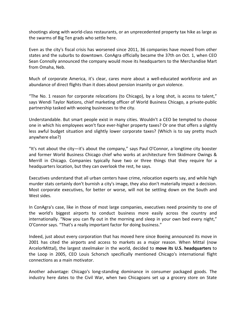shootings along with world‐class restaurants, or an unprecedented property tax hike as large as the swarms of Big Ten grads who settle here.

Even as the city's fiscal crisis has worsened since 2011, 36 companies have moved from other states and the suburbs to downtown. ConAgra officially became the 37th on Oct. 1, when CEO Sean Connolly announced the company would move its headquarters to the Merchandise Mart from Omaha, Neb.

Much of corporate America, it's clear, cares more about a well-educated workforce and an abundance of direct flights than it does about pension insanity or gun violence.

"The No. 1 reason for corporate relocations (to Chicago), by a long shot, is access to talent," says Wendi Taylor Nations, chief marketing officer of World Business Chicago, a private‐public partnership tasked with wooing businesses to the city.

Understandable. But smart people exist in many cities. Wouldn't a CEO be tempted to choose one in which his employees won't face ever‐higher property taxes? Or one that offers a slightly less awful budget situation and slightly lower corporate taxes? (Which is to say pretty much anywhere else?)

"It's not about the city—it's about the company," says Paul O'Connor, a longtime city booster and former World Business Chicago chief who works at architecture firm Skidmore Owings & Merrill in Chicago. Companies typically have two or three things that they require for a headquarters location, but they can overlook the rest, he says.

Executives understand that all urban centers have crime, relocation experts say, and while high murder stats certainly don't burnish a city's image, they also don't materially impact a decision. Most corporate executives, for better or worse, will not be settling down on the South and West sides.

In ConAgra's case, like in those of most large companies, executives need proximity to one of the world's biggest airports to conduct business more easily across the country and internationally. "Now you can fly out in the morning and sleep in your own bed every night," O'Connor says. "That's a really important factor for doing business."

Indeed, just about every corporation that has moved here since Boeing announced its move in 2001 has cited the airports and access to markets as a major reason. When Mittal (now ArcelorMittal), the largest steelmaker in the world, decided to **move its U.S. headquarters** to the Loop in 2005, CEO Louis Schorsch specifically mentioned Chicago's international flight connections as a main motivator.

Another advantage: Chicago's long‐standing dominance in consumer packaged goods. The industry here dates to the Civil War, when two Chicagoans set up a grocery store on State